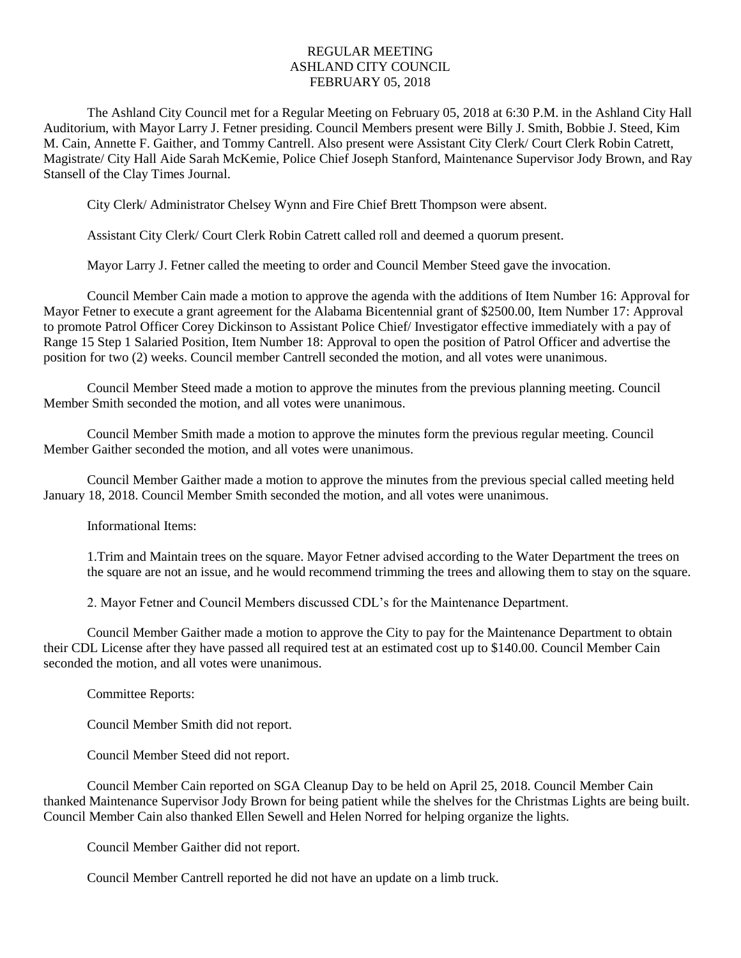## REGULAR MEETING ASHLAND CITY COUNCIL FEBRUARY 05, 2018

The Ashland City Council met for a Regular Meeting on February 05, 2018 at 6:30 P.M. in the Ashland City Hall Auditorium, with Mayor Larry J. Fetner presiding. Council Members present were Billy J. Smith, Bobbie J. Steed, Kim M. Cain, Annette F. Gaither, and Tommy Cantrell. Also present were Assistant City Clerk/ Court Clerk Robin Catrett, Magistrate/ City Hall Aide Sarah McKemie, Police Chief Joseph Stanford, Maintenance Supervisor Jody Brown, and Ray Stansell of the Clay Times Journal.

City Clerk/ Administrator Chelsey Wynn and Fire Chief Brett Thompson were absent.

Assistant City Clerk/ Court Clerk Robin Catrett called roll and deemed a quorum present.

Mayor Larry J. Fetner called the meeting to order and Council Member Steed gave the invocation.

Council Member Cain made a motion to approve the agenda with the additions of Item Number 16: Approval for Mayor Fetner to execute a grant agreement for the Alabama Bicentennial grant of \$2500.00, Item Number 17: Approval to promote Patrol Officer Corey Dickinson to Assistant Police Chief/ Investigator effective immediately with a pay of Range 15 Step 1 Salaried Position, Item Number 18: Approval to open the position of Patrol Officer and advertise the position for two (2) weeks. Council member Cantrell seconded the motion, and all votes were unanimous.

Council Member Steed made a motion to approve the minutes from the previous planning meeting. Council Member Smith seconded the motion, and all votes were unanimous.

Council Member Smith made a motion to approve the minutes form the previous regular meeting. Council Member Gaither seconded the motion, and all votes were unanimous.

Council Member Gaither made a motion to approve the minutes from the previous special called meeting held January 18, 2018. Council Member Smith seconded the motion, and all votes were unanimous.

Informational Items:

1.Trim and Maintain trees on the square. Mayor Fetner advised according to the Water Department the trees on the square are not an issue, and he would recommend trimming the trees and allowing them to stay on the square.

2. Mayor Fetner and Council Members discussed CDL's for the Maintenance Department.

Council Member Gaither made a motion to approve the City to pay for the Maintenance Department to obtain their CDL License after they have passed all required test at an estimated cost up to \$140.00. Council Member Cain seconded the motion, and all votes were unanimous.

Committee Reports:

Council Member Smith did not report.

Council Member Steed did not report.

Council Member Cain reported on SGA Cleanup Day to be held on April 25, 2018. Council Member Cain thanked Maintenance Supervisor Jody Brown for being patient while the shelves for the Christmas Lights are being built. Council Member Cain also thanked Ellen Sewell and Helen Norred for helping organize the lights.

Council Member Gaither did not report.

Council Member Cantrell reported he did not have an update on a limb truck.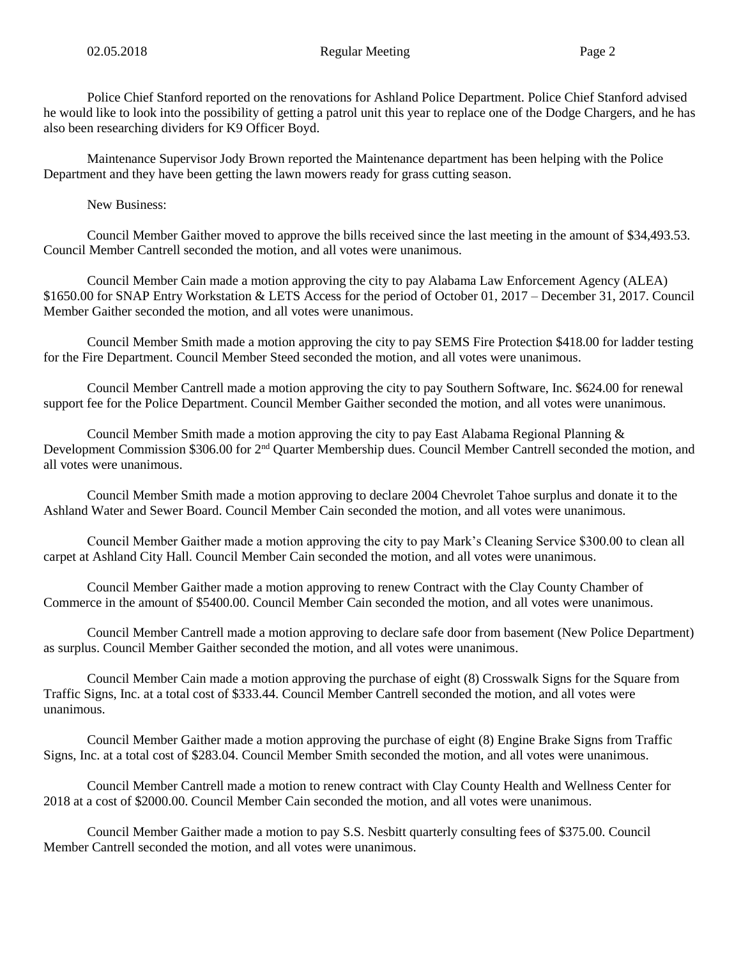Police Chief Stanford reported on the renovations for Ashland Police Department. Police Chief Stanford advised he would like to look into the possibility of getting a patrol unit this year to replace one of the Dodge Chargers, and he has also been researching dividers for K9 Officer Boyd.

Maintenance Supervisor Jody Brown reported the Maintenance department has been helping with the Police Department and they have been getting the lawn mowers ready for grass cutting season.

New Business:

Council Member Gaither moved to approve the bills received since the last meeting in the amount of \$34,493.53. Council Member Cantrell seconded the motion, and all votes were unanimous.

Council Member Cain made a motion approving the city to pay Alabama Law Enforcement Agency (ALEA) \$1650.00 for SNAP Entry Workstation & LETS Access for the period of October 01, 2017 – December 31, 2017. Council Member Gaither seconded the motion, and all votes were unanimous.

Council Member Smith made a motion approving the city to pay SEMS Fire Protection \$418.00 for ladder testing for the Fire Department. Council Member Steed seconded the motion, and all votes were unanimous.

Council Member Cantrell made a motion approving the city to pay Southern Software, Inc. \$624.00 for renewal support fee for the Police Department. Council Member Gaither seconded the motion, and all votes were unanimous.

Council Member Smith made a motion approving the city to pay East Alabama Regional Planning & Development Commission \$306.00 for 2<sup>nd</sup> Quarter Membership dues. Council Member Cantrell seconded the motion, and all votes were unanimous.

Council Member Smith made a motion approving to declare 2004 Chevrolet Tahoe surplus and donate it to the Ashland Water and Sewer Board. Council Member Cain seconded the motion, and all votes were unanimous.

Council Member Gaither made a motion approving the city to pay Mark's Cleaning Service \$300.00 to clean all carpet at Ashland City Hall. Council Member Cain seconded the motion, and all votes were unanimous.

Council Member Gaither made a motion approving to renew Contract with the Clay County Chamber of Commerce in the amount of \$5400.00. Council Member Cain seconded the motion, and all votes were unanimous.

Council Member Cantrell made a motion approving to declare safe door from basement (New Police Department) as surplus. Council Member Gaither seconded the motion, and all votes were unanimous.

Council Member Cain made a motion approving the purchase of eight (8) Crosswalk Signs for the Square from Traffic Signs, Inc. at a total cost of \$333.44. Council Member Cantrell seconded the motion, and all votes were unanimous.

Council Member Gaither made a motion approving the purchase of eight (8) Engine Brake Signs from Traffic Signs, Inc. at a total cost of \$283.04. Council Member Smith seconded the motion, and all votes were unanimous.

Council Member Cantrell made a motion to renew contract with Clay County Health and Wellness Center for 2018 at a cost of \$2000.00. Council Member Cain seconded the motion, and all votes were unanimous.

Council Member Gaither made a motion to pay S.S. Nesbitt quarterly consulting fees of \$375.00. Council Member Cantrell seconded the motion, and all votes were unanimous.